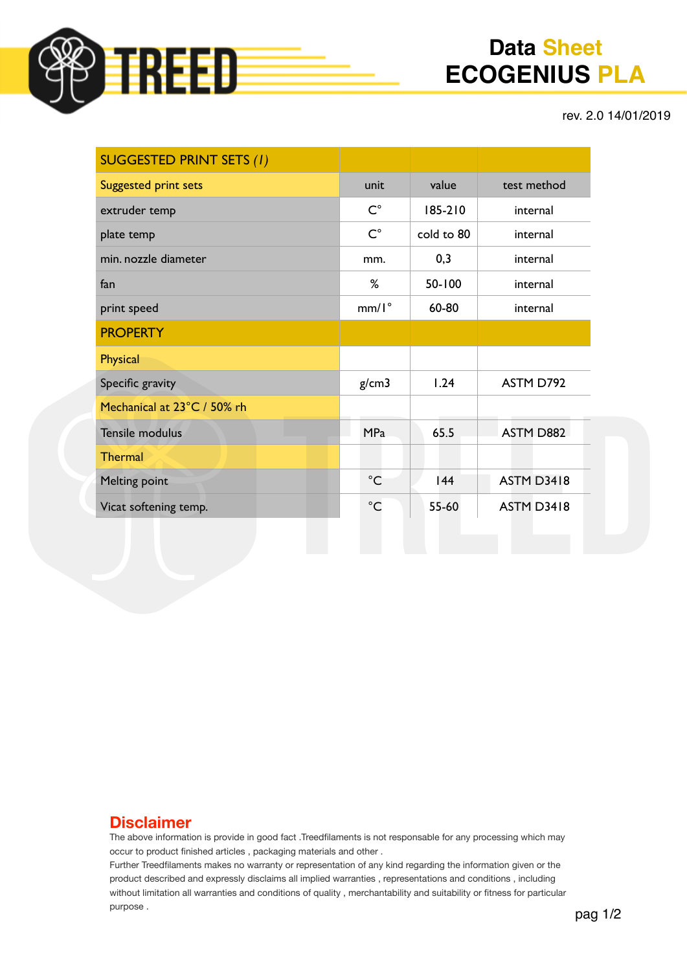

# **Data Sheet ECOGENIUS PLA**

rev. 2.0 14/01/2019

| <b>SUGGESTED PRINT SETS (1)</b> |                    |            |                   |
|---------------------------------|--------------------|------------|-------------------|
| Suggested print sets            | unit               | value      | test method       |
| extruder temp                   | $\mathsf{C}^\circ$ | 185-210    | internal          |
| plate temp                      | $C^{\circ}$        | cold to 80 | internal          |
| min. nozzle diameter            | mm.                | 0,3        | internal          |
| fan                             | %                  | 50-100     | internal          |
| print speed                     | $mm/I^{\circ}$     | 60-80      | internal          |
| <b>PROPERTY</b>                 |                    |            |                   |
| Physical                        |                    |            |                   |
| Specific gravity                | g/cm3              | 1.24       | ASTM D792         |
| Mechanical at 23°C / 50% rh     |                    |            |                   |
| <b>Tensile modulus</b>          | <b>MPa</b>         | 65.5       | ASTM D882         |
| <b>Thermal</b>                  |                    |            |                   |
| Melting point                   | $^{\circ}$ C       | 144        | <b>ASTM D3418</b> |
| Vicat softening temp.           | $^{\circ}$ C       | 55-60      | <b>ASTM D3418</b> |

#### **Disclaimer**

The above information is provide in good fact .Treedfilaments is not responsable for any processing which may occur to product finished articles , packaging materials and other .

Further Treedfilaments makes no warranty or representation of any kind regarding the information given or the product described and expressly disclaims all implied warranties , representations and conditions , including without limitation all warranties and conditions of quality , merchantability and suitability or fitness for particular purpose .